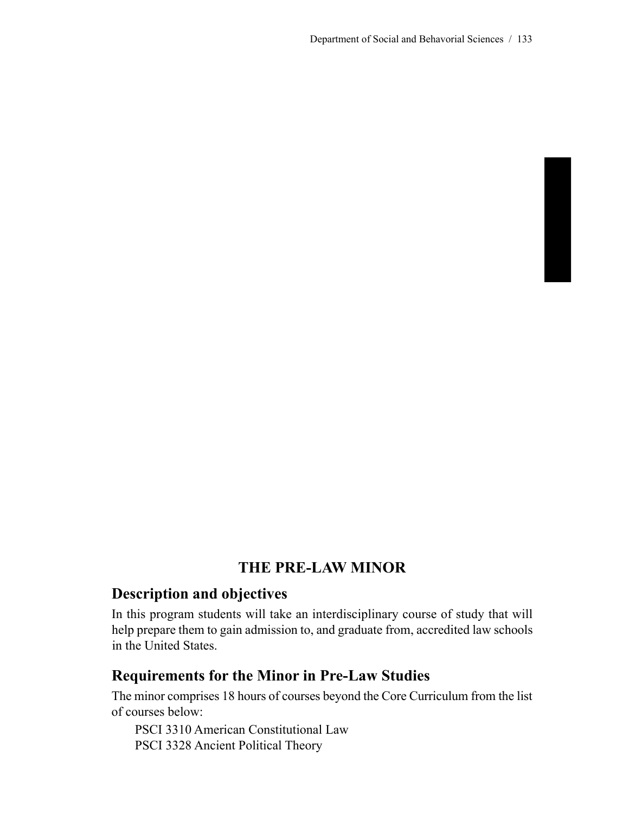# **THE PRE-LAW MINOR**

## **Description and objectives**

In this program students will take an interdisciplinary course of study that will help prepare them to gain admission to, and graduate from, accredited law schools in the United States.

# **Requirements for the Minor in Pre-Law Studies**

The minor comprises 18 hours of courses beyond the Core Curriculum from the list of courses below:

PSCI 3310 American Constitutional Law PSCI 3328 Ancient Political Theory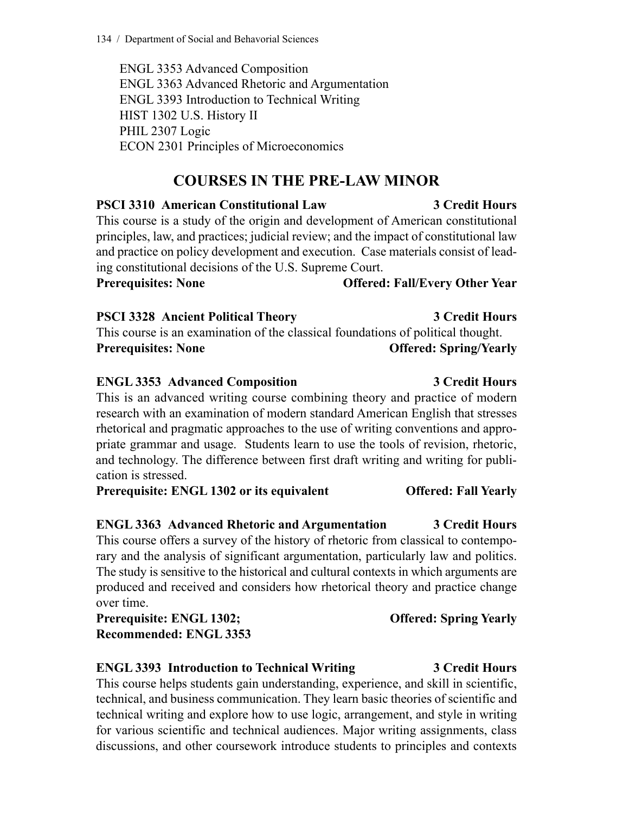ENGL 3353 Advanced Composition ENGL 3363 Advanced Rhetoric and Argumentation ENGL 3393 Introduction to Technical Writing HIST 1302 U.S. History II PHIL 2307 Logic ECON 2301 Principles of Microeconomics

# **COURSES IN THE PRE-LAW MINOR**

**PSCI 3310 American Constitutional Law 3 Credit Hours** This course is a study of the origin and development of American constitutional principles, law, and practices; judicial review; and the impact of constitutional law and practice on policy development and execution. Case materials consist of leading constitutional decisions of the U.S. Supreme Court. **Prerequisites: None Offered: Fall/Every Other Year**

**PSCI 3328 Ancient Political Theory 3 Credit Hours** This course is an examination of the classical foundations of political thought. **Prerequisites: None Offered: Spring/Yearly**

### **ENGL 3353 Advanced Composition 3 Credit Hours** This is an advanced writing course combining theory and practice of modern research with an examination of modern standard American English that stresses rhetorical and pragmatic approaches to the use of writing conventions and appropriate grammar and usage. Students learn to use the tools of revision, rhetoric, and technology. The difference between first draft writing and writing for publication is stressed.

**Prerequisite: ENGL 1302 or its equivalent Offered: Fall Yearly**

## **ENGL 3363 Advanced Rhetoric and Argumentation 3 Credit Hours**

This course offers a survey of the history of rhetoric from classical to contemporary and the analysis of significant argumentation, particularly law and politics. The study is sensitive to the historical and cultural contexts in which arguments are produced and received and considers how rhetorical theory and practice change over time.

**Prerequisite: ENGL 1302; Offered: Spring Yearly Recommended: ENGL 3353**

## **ENGL 3393 Introduction to Technical Writing 3 Credit Hours**

This course helps students gain understanding, experience, and skill in scientific, technical, and business communication. They learn basic theories of scientific and technical writing and explore how to use logic, arrangement, and style in writing for various scientific and technical audiences. Major writing assignments, class discussions, and other coursework introduce students to principles and contexts